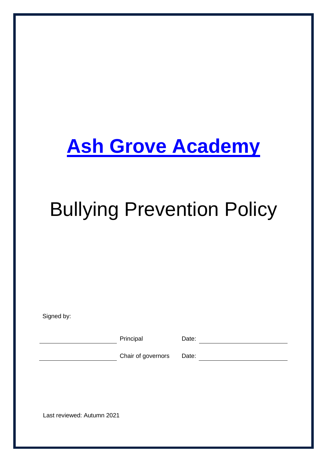## **Ash Grove Academy**

# Bullying Prevention Policy

Signed by:

Principal Date: Date:

Chair of governors Date:

Last reviewed: Autumn 2021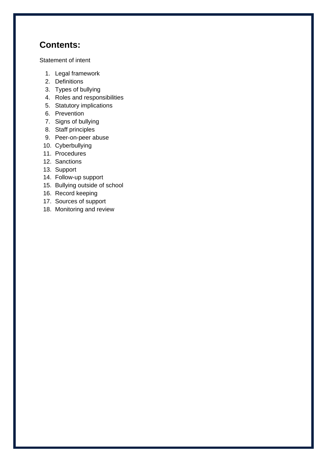## **Contents:**

Statement of intent

- 1. Legal framework
- 2. Definitions
- 3. Types of bullying
- 4. Roles and responsibilities
- 5. Statutory implications
- 6. Prevention
- 7. Signs of bullying
- 8. Staff principles
- 9. Peer-on-peer abuse
- 10. Cyberbullying
- 11. Procedures
- 12. Sanctions
- 13. Support
- 14. Follow-up support
- 15. Bullying outside of school
- 16. Record keeping
- 17. Sources of support
- 18. Monitoring and review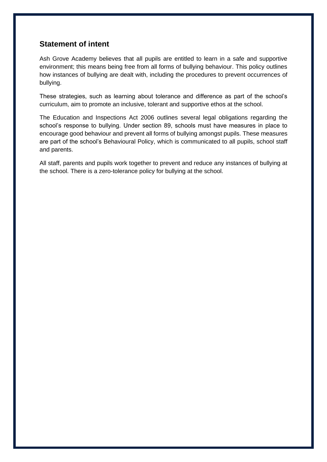#### **Statement of intent**

Ash Grove Academy believes that all pupils are entitled to learn in a safe and supportive environment; this means being free from all forms of bullying behaviour. This policy outlines how instances of bullying are dealt with, including the procedures to prevent occurrences of bullying.

These strategies, such as learning about tolerance and difference as part of the school's curriculum, aim to promote an inclusive, tolerant and supportive ethos at the school.

The Education and Inspections Act 2006 outlines several legal obligations regarding the school's response to bullying. Under section 89, schools must have measures in place to encourage good behaviour and prevent all forms of bullying amongst pupils. These measures are part of the school's Behavioural Policy, which is communicated to all pupils, school staff and parents.

All staff, parents and pupils work together to prevent and reduce any instances of bullying at the school. There is a zero-tolerance policy for bullying at the school.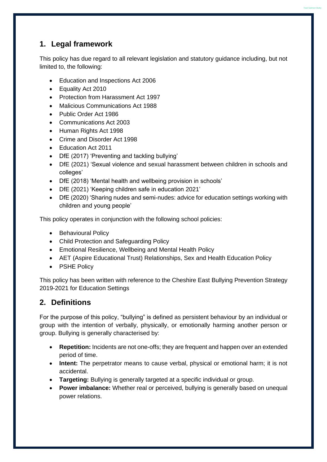## **1. Legal framework**

This policy has due regard to all relevant legislation and statutory guidance including, but not limited to, the following:

**Teal Salmon Butty** 

- Education and Inspections Act 2006
- Equality Act 2010
- Protection from Harassment Act 1997
- Malicious Communications Act 1988
- Public Order Act 1986
- Communications Act 2003
- Human Rights Act 1998
- Crime and Disorder Act 1998
- Education Act 2011
- DfE (2017) 'Preventing and tackling bullying'
- DfE (2021) 'Sexual violence and sexual harassment between children in schools and colleges'
- DfE (2018) 'Mental health and wellbeing provision in schools'
- DfE (2021) 'Keeping children safe in education 2021'
- DfE (2020) 'Sharing nudes and semi-nudes: advice for education settings working with children and young people'

This policy operates in conjunction with the following school policies:

- Behavioural Policy
- Child Protection and Safeguarding Policy
- Emotional Resilience, Wellbeing and Mental Health Policy
- AET (Aspire Educational Trust) Relationships, Sex and Health Education Policy
- PSHE Policy

This policy has been written with reference to the Cheshire East Bullying Prevention Strategy 2019-2021 for Education Settings

## **2. Definitions**

For the purpose of this policy, "bullying" is defined as persistent behaviour by an individual or group with the intention of verbally, physically, or emotionally harming another person or group. Bullying is generally characterised by:

- **Repetition:** Incidents are not one-offs; they are frequent and happen over an extended period of time.
- **Intent:** The perpetrator means to cause verbal, physical or emotional harm; it is not accidental.
- **Targeting:** Bullying is generally targeted at a specific individual or group.
- **Power imbalance:** Whether real or perceived, bullying is generally based on unequal power relations.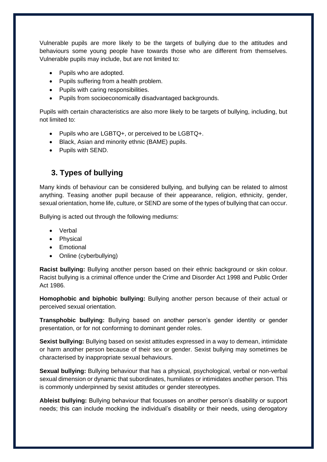Vulnerable pupils are more likely to be the targets of bullying due to the attitudes and behaviours some young people have towards those who are different from themselves. Vulnerable pupils may include, but are not limited to:

- Pupils who are adopted.
- Pupils suffering from a health problem.
- Pupils with caring responsibilities.
- Pupils from socioeconomically disadvantaged backgrounds.

Pupils with certain characteristics are also more likely to be targets of bullying, including, but not limited to:

- Pupils who are LGBTQ+, or perceived to be LGBTQ+.
- Black, Asian and minority ethnic (BAME) pupils.
- Pupils with SEND.

## **3. Types of bullying**

Many kinds of behaviour can be considered bullying, and bullying can be related to almost anything. Teasing another pupil because of their appearance, religion, ethnicity, gender, sexual orientation, home life, culture, or SEND are some of the types of bullying that can occur.

Bullying is acted out through the following mediums:

- Verbal
- Physical
- Emotional
- Online (cyberbullying)

**Racist bullying:** Bullying another person based on their ethnic background or skin colour. Racist bullying is a criminal offence under the Crime and Disorder Act 1998 and Public Order Act 1986.

**Homophobic and biphobic bullying:** Bullying another person because of their actual or perceived sexual orientation.

**Transphobic bullying:** Bullying based on another person's gender identity or gender presentation, or for not conforming to dominant gender roles.

**Sexist bullying:** Bullying based on sexist attitudes expressed in a way to demean, intimidate or harm another person because of their sex or gender. Sexist bullying may sometimes be characterised by inappropriate sexual behaviours.

**Sexual bullying:** Bullying behaviour that has a physical, psychological, verbal or non-verbal sexual dimension or dynamic that subordinates, humiliates or intimidates another person. This is commonly underpinned by sexist attitudes or gender stereotypes.

**Ableist bullying:** Bullying behaviour that focusses on another person's disability or support needs; this can include mocking the individual's disability or their needs, using derogatory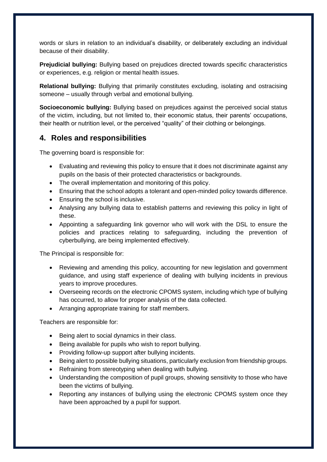words or slurs in relation to an individual's disability, or deliberately excluding an individual because of their disability.

**Prejudicial bullying:** Bullying based on prejudices directed towards specific characteristics or experiences, e.g. religion or mental health issues.

**Relational bullying:** Bullying that primarily constitutes excluding, isolating and ostracising someone – usually through verbal and emotional bullying.

**Socioeconomic bullying:** Bullying based on prejudices against the perceived social status of the victim, including, but not limited to, their economic status, their parents' occupations, their health or nutrition level, or the perceived "quality" of their clothing or belongings.

## **4. Roles and responsibilities**

The governing board is responsible for:

- Evaluating and reviewing this policy to ensure that it does not discriminate against any pupils on the basis of their protected characteristics or backgrounds.
- The overall implementation and monitoring of this policy.
- Ensuring that the school adopts a tolerant and open-minded policy towards difference.
- Ensuring the school is inclusive.
- Analysing any bullying data to establish patterns and reviewing this policy in light of these.
- Appointing a safeguarding link governor who will work with the DSL to ensure the policies and practices relating to safeguarding, including the prevention of cyberbullying, are being implemented effectively.

The Principal is responsible for:

- Reviewing and amending this policy, accounting for new legislation and government guidance, and using staff experience of dealing with bullying incidents in previous years to improve procedures.
- Overseeing records on the electronic CPOMS system, including which type of bullying has occurred, to allow for proper analysis of the data collected.
- Arranging appropriate training for staff members.

Teachers are responsible for:

- Being alert to social dynamics in their class.
- Being available for pupils who wish to report bullying.
- Providing follow-up support after bullying incidents.
- Being alert to possible bullying situations, particularly exclusion from friendship groups.
- Refraining from stereotyping when dealing with bullying.
- Understanding the composition of pupil groups, showing sensitivity to those who have been the victims of bullying.
- Reporting any instances of bullying using the electronic CPOMS system once they have been approached by a pupil for support.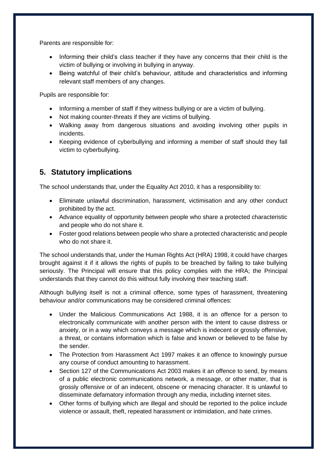Parents are responsible for:

- Informing their child's class teacher if they have any concerns that their child is the victim of bullying or involving in bullying in anyway.
- Being watchful of their child's behaviour, attitude and characteristics and informing relevant staff members of any changes.

Pupils are responsible for:

- Informing a member of staff if they witness bullying or are a victim of bullying.
- Not making counter-threats if they are victims of bullying.
- Walking away from dangerous situations and avoiding involving other pupils in incidents.
- Keeping evidence of cyberbullying and informing a member of staff should they fall victim to cyberbullying.

## **5. Statutory implications**

The school understands that, under the Equality Act 2010, it has a responsibility to:

- Eliminate unlawful discrimination, harassment, victimisation and any other conduct prohibited by the act.
- Advance equality of opportunity between people who share a protected characteristic and people who do not share it.
- Foster good relations between people who share a protected characteristic and people who do not share it.

The school understands that, under the Human Rights Act (HRA) 1998, it could have charges brought against it if it allows the rights of pupils to be breached by failing to take bullying seriously. The Principal will ensure that this policy complies with the HRA; the Principal understands that they cannot do this without fully involving their teaching staff.

Although bullying itself is not a criminal offence, some types of harassment, threatening behaviour and/or communications may be considered criminal offences:

- Under the Malicious Communications Act 1988, it is an offence for a person to electronically communicate with another person with the intent to cause distress or anxiety, or in a way which conveys a message which is indecent or grossly offensive, a threat, or contains information which is false and known or believed to be false by the sender.
- The Protection from Harassment Act 1997 makes it an offence to knowingly pursue any course of conduct amounting to harassment.
- Section 127 of the Communications Act 2003 makes it an offence to send, by means of a public electronic communications network, a message, or other matter, that is grossly offensive or of an indecent, obscene or menacing character. It is unlawful to disseminate defamatory information through any media, including internet sites.
- Other forms of bullying which are illegal and should be reported to the police include violence or assault, theft, repeated harassment or intimidation, and hate crimes.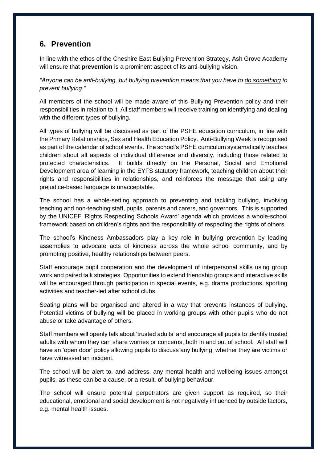#### <span id="page-7-0"></span>**6. Prevention**

In line with the ethos of the Cheshire East Bullying Prevention Strategy, Ash Grove Academy will ensure that **prevention** is a prominent aspect of its anti-bullying vision.

*"Anyone can be anti-bullying, but bullying prevention means that you have to do something to prevent bullying."*

All members of the school will be made aware of this Bullying Prevention policy and their responsibilities in relation to it. All staff members will receive training on identifying and dealing with the different types of bullying.

All types of bullying will be discussed as part of the PSHE education curriculum, in line with the Primary Relationships, Sex and Health Education Policy. Anti-Bullying Week is recognised as part of the calendar of school events. The school's PSHE curriculum systematically teaches children about all aspects of individual difference and diversity, including those related to protected characteristics. It builds directly on the Personal, Social and Emotional Development area of learning in the EYFS statutory framework, teaching children about their rights and responsibilities in relationships, and reinforces the message that using any prejudice-based language is unacceptable.

The school has a whole-setting approach to preventing and tackling bullying, involving teaching and non-teaching staff, pupils, parents and carers, and governors. This is supported by the UNICEF 'Rights Respecting Schools Award' agenda which provides a whole-school framework based on children's rights and the responsibility of respecting the rights of others.

The school's Kindness Ambassadors play a key role in bullying prevention by leading assemblies to advocate acts of kindness across the whole school community, and by promoting positive, healthy relationships between peers.

Staff encourage pupil cooperation and the development of interpersonal skills using group work and paired talk strategies. Opportunities to extend friendship groups and interactive skills will be encouraged through participation in special events, e.g. drama productions, sporting activities and teacher-led after school clubs.

Seating plans will be organised and altered in a way that prevents instances of bullying. Potential victims of bullying will be placed in working groups with other pupils who do not abuse or take advantage of others.

Staff members will openly talk about 'trusted adults' and encourage all pupils to identify trusted adults with whom they can share worries or concerns, both in and out of school. All staff will have an 'open door' policy allowing pupils to discuss any bullying, whether they are victims or have witnessed an incident.

The school will be alert to, and address, any mental health and wellbeing issues amongst pupils, as these can be a cause, or a result, of bullying behaviour.

The school will ensure potential perpetrators are given support as required, so their educational, emotional and social development is not negatively influenced by outside factors, e.g. mental health issues.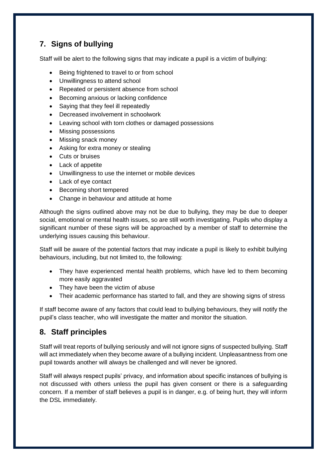## <span id="page-8-0"></span>**7. Signs of bullying**

Staff will be alert to the following signs that may indicate a pupil is a victim of bullying:

- Being frightened to travel to or from school
- Unwillingness to attend school
- Repeated or persistent absence from school
- Becoming anxious or lacking confidence
- Saying that they feel ill repeatedly
- Decreased involvement in schoolwork
- Leaving school with torn clothes or damaged possessions
- Missing possessions
- Missing snack money
- Asking for extra money or stealing
- Cuts or bruises
- Lack of appetite
- Unwillingness to use the internet or mobile devices
- Lack of eye contact
- Becoming short tempered
- Change in behaviour and attitude at home

Although the signs outlined above may not be due to bullying, they may be due to deeper social, emotional or mental health issues, so are still worth investigating. Pupils who display a significant number of these signs will be approached by a member of staff to determine the underlying issues causing this behaviour.

Staff will be aware of the potential factors that may indicate a pupil is likely to exhibit bullying behaviours, including, but not limited to, the following:

- They have experienced mental health problems, which have led to them becoming more easily aggravated
- They have been the victim of abuse
- Their academic performance has started to fall, and they are showing signs of stress

If staff become aware of any factors that could lead to bullying behaviours, they will notify the pupil's class teacher, who will investigate the matter and monitor the situation.

## **8. Staff principles**

Staff will treat reports of bullying seriously and will not ignore signs of suspected bullying. Staff will act immediately when they become aware of a bullying incident. Unpleasantness from one pupil towards another will always be challenged and will never be ignored.

Staff will always respect pupils' privacy, and information about specific instances of bullying is not discussed with others unless the pupil has given consent or there is a safeguarding concern. If a member of staff believes a pupil is in danger, e.g. of being hurt, they will inform the DSL immediately.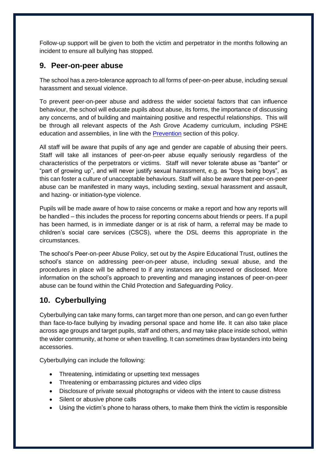Follow-up support will be given to both the victim and perpetrator in the months following an incident to ensure all bullying has stopped.

#### **9. Peer-on-peer abuse**

The school has a zero-tolerance approach to all forms of peer-on-peer abuse, including sexual harassment and sexual violence.

To prevent peer-on-peer abuse and address the wider societal factors that can influence behaviour, the school will educate pupils about abuse, its forms, the importance of discussing any concerns, and of building and maintaining positive and respectful relationships. This will be through all relevant aspects of the Ash Grove Academy curriculum, including PSHE education and assemblies, in line with the [Prevention](#page-7-0) section of this policy.

All staff will be aware that pupils of any age and gender are capable of abusing their peers. Staff will take all instances of peer-on-peer abuse equally seriously regardless of the characteristics of the perpetrators or victims. Staff will never tolerate abuse as "banter" or "part of growing up", and will never justify sexual harassment, e.g. as "boys being boys", as this can foster a culture of unacceptable behaviours. Staff will also be aware that peer-on-peer abuse can be manifested in many ways, including sexting, sexual harassment and assault, and hazing- or initiation-type violence.

Pupils will be made aware of how to raise concerns or make a report and how any reports will be handled – this includes the process for reporting concerns about friends or peers. If a pupil has been harmed, is in immediate danger or is at risk of harm, a referral may be made to children's social care services (CSCS), where the DSL deems this appropriate in the circumstances.

The school's Peer-on-peer Abuse Policy, set out by the Aspire Educational Trust, outlines the school's stance on addressing peer-on-peer abuse, including sexual abuse, and the procedures in place will be adhered to if any instances are uncovered or disclosed. More information on the school's approach to preventing and managing instances of peer-on-peer abuse can be found within the Child Protection and Safeguarding Policy.

## **10. Cyberbullying**

Cyberbullying can take many forms, can target more than one person, and can go even further than face-to-face bullying by invading personal space and home life. It can also take place across age groups and target pupils, staff and others, and may take place inside school, within the wider community, at home or when travelling. It can sometimes draw bystanders into being accessories.

Cyberbullying can include the following:

- Threatening, intimidating or upsetting text messages
- Threatening or embarrassing pictures and video clips
- Disclosure of private sexual photographs or videos with the intent to cause distress
- Silent or abusive phone calls
- Using the victim's phone to harass others, to make them think the victim is responsible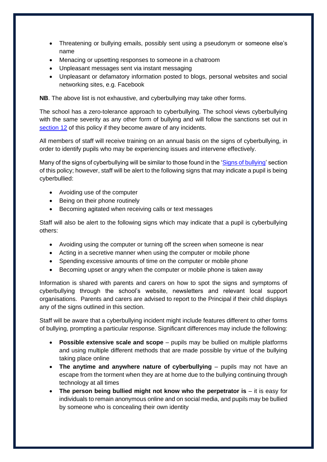- Threatening or bullying emails, possibly sent using a pseudonym or someone else's name
- Menacing or upsetting responses to someone in a chatroom
- Unpleasant messages sent via instant messaging
- Unpleasant or defamatory information posted to blogs, personal websites and social networking sites, e.g. Facebook

**NB**. The above list is not exhaustive, and cyberbullying may take other forms.

The school has a zero-tolerance approach to cyberbullying. The school views cyberbullying with the same severity as any other form of bullying and will follow the sanctions set out in [section 12](#page-11-0) of this policy if they become aware of any incidents.

All members of staff will receive training on an annual basis on the signs of cyberbullying, in order to identify pupils who may be experiencing issues and intervene effectively.

Many of the signs of cyberbullying will be similar to those found in the ['Signs of bullying'](#page-8-0) section of this policy; however, staff will be alert to the following signs that may indicate a pupil is being cyberbullied:

- Avoiding use of the computer
- Being on their phone routinely
- Becoming agitated when receiving calls or text messages

Staff will also be alert to the following signs which may indicate that a pupil is cyberbullying others:

- Avoiding using the computer or turning off the screen when someone is near
- Acting in a secretive manner when using the computer or mobile phone
- Spending excessive amounts of time on the computer or mobile phone
- Becoming upset or angry when the computer or mobile phone is taken away

Information is shared with parents and carers on how to spot the signs and symptoms of cyberbullying through the school's website, newsletters and relevant local support organisations. Parents and carers are advised to report to the Principal if their child displays any of the signs outlined in this section.

Staff will be aware that a cyberbullying incident might include features different to other forms of bullying, prompting a particular response. Significant differences may include the following:

- **Possible extensive scale and scope** pupils may be bullied on multiple platforms and using multiple different methods that are made possible by virtue of the bullying taking place online
- **The anytime and anywhere nature of cyberbullying** pupils may not have an escape from the torment when they are at home due to the bullying continuing through technology at all times
- **The person being bullied might not know who the perpetrator is** it is easy for individuals to remain anonymous online and on social media, and pupils may be bullied by someone who is concealing their own identity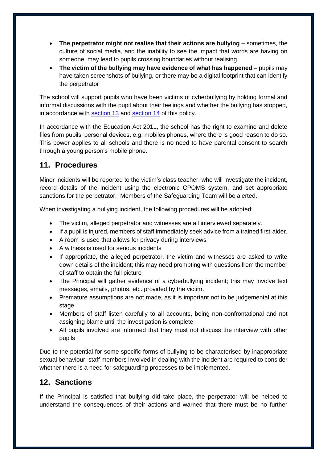- **The perpetrator might not realise that their actions are bullying** sometimes, the culture of social media, and the inability to see the impact that words are having on someone, may lead to pupils crossing boundaries without realising
- **The victim of the bullying may have evidence of what has happened** pupils may have taken screenshots of bullying, or there may be a digital footprint that can identify the perpetrator

The school will support pupils who have been victims of cyberbullying by holding formal and informal discussions with the pupil about their feelings and whether the bullying has stopped, in accordance with [section 13](#page-12-0) and [section 14](#page-13-0) of this policy.

In accordance with the Education Act 2011, the school has the right to examine and delete files from pupils' personal devices, e.g. mobiles phones, where there is good reason to do so. This power applies to all schools and there is no need to have parental consent to search through a young person's mobile phone.

## **11. Procedures**

Minor incidents will be reported to the victim's class teacher, who will investigate the incident, record details of the incident using the electronic CPOMS system, and set appropriate sanctions for the perpetrator. Members of the Safeguarding Team will be alerted.

When investigating a bullying incident, the following procedures will be adopted:

- The victim, alleged perpetrator and witnesses are all interviewed separately.
- If a pupil is injured, members of staff immediately seek advice from a trained first-aider.
- A room is used that allows for privacy during interviews
- A witness is used for serious incidents
- If appropriate, the alleged perpetrator, the victim and witnesses are asked to write down details of the incident; this may need prompting with questions from the member of staff to obtain the full picture
- The Principal will gather evidence of a cyberbullying incident; this may involve text messages, emails, photos, etc. provided by the victim.
- Premature assumptions are not made, as it is important not to be judgemental at this stage
- Members of staff listen carefully to all accounts, being non-confrontational and not assigning blame until the investigation is complete
- All pupils involved are informed that they must not discuss the interview with other pupils

Due to the potential for some specific forms of bullying to be characterised by inappropriate sexual behaviour, staff members involved in dealing with the incident are required to consider whether there is a need for safeguarding processes to be implemented.

#### <span id="page-11-0"></span>**12. Sanctions**

If the Principal is satisfied that bullying did take place, the perpetrator will be helped to understand the consequences of their actions and warned that there must be no further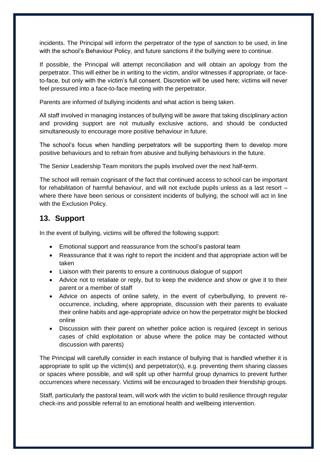incidents. The Principal will inform the perpetrator of the type of sanction to be used, in line with the school's Behaviour Policy, and future sanctions if the bullying were to continue.

If possible, the Principal will attempt reconciliation and will obtain an apology from the perpetrator. This will either be in writing to the victim, and/or witnesses if appropriate, or faceto-face, but only with the victim's full consent. Discretion will be used here; victims will never feel pressured into a face-to-face meeting with the perpetrator.

Parents are informed of bullying incidents and what action is being taken.

All staff involved in managing instances of bullying will be aware that taking disciplinary action and providing support are not mutually exclusive actions, and should be conducted simultaneously to encourage more positive behaviour in future.

The school's focus when handling perpetrators will be supporting them to develop more positive behaviours and to refrain from abusive and bullying behaviours in the future.

The Senior Leadership Team monitors the pupils involved over the next half-term.

The school will remain cognisant of the fact that continued access to school can be important for rehabilitation of harmful behaviour, and will not exclude pupils unless as a last resort – where there have been serious or consistent incidents of bullying, the school will act in line with the Exclusion Policy.

#### <span id="page-12-0"></span>**13. Support**

In the event of bullying, victims will be offered the following support:

- Emotional support and reassurance from the school's pastoral team
- Reassurance that it was right to report the incident and that appropriate action will be taken
- Liaison with their parents to ensure a continuous dialogue of support
- Advice not to retaliate or reply, but to keep the evidence and show or give it to their parent or a member of staff
- Advice on aspects of online safety, in the event of cyberbullying, to prevent reoccurrence, including, where appropriate, discussion with their parents to evaluate their online habits and age-appropriate advice on how the perpetrator might be blocked online
- Discussion with their parent on whether police action is required (except in serious cases of child exploitation or abuse where the police may be contacted without discussion with parents)

The Principal will carefully consider in each instance of bullying that is handled whether it is appropriate to split up the victim(s) and perpetrator(s), e.g. preventing them sharing classes or spaces where possible, and will split up other harmful group dynamics to prevent further occurrences where necessary. Victims will be encouraged to broaden their friendship groups.

Staff, particularly the pastoral team, will work with the victim to build resilience through regular check-ins and possible referral to an emotional health and wellbeing intervention.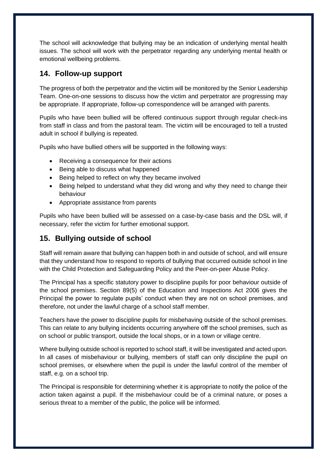The school will acknowledge that bullying may be an indication of underlying mental health issues. The school will work with the perpetrator regarding any underlying mental health or emotional wellbeing problems.

#### <span id="page-13-0"></span>**14. Follow-up support**

The progress of both the perpetrator and the victim will be monitored by the Senior Leadership Team. One-on-one sessions to discuss how the victim and perpetrator are progressing may be appropriate. If appropriate, follow-up correspondence will be arranged with parents.

Pupils who have been bullied will be offered continuous support through regular check-ins from staff in class and from the pastoral team. The victim will be encouraged to tell a trusted adult in school if bullying is repeated.

Pupils who have bullied others will be supported in the following ways:

- Receiving a consequence for their actions
- Being able to discuss what happened
- Being helped to reflect on why they became involved
- Being helped to understand what they did wrong and why they need to change their behaviour
- Appropriate assistance from parents

Pupils who have been bullied will be assessed on a case-by-case basis and the DSL will, if necessary, refer the victim for further emotional support.

## **15. Bullying outside of school**

Staff will remain aware that bullying can happen both in and outside of school, and will ensure that they understand how to respond to reports of bullying that occurred outside school in line with the Child Protection and Safeguarding Policy and the Peer-on-peer Abuse Policy.

The Principal has a specific statutory power to discipline pupils for poor behaviour outside of the school premises. Section 89(5) of the Education and Inspections Act 2006 gives the Principal the power to regulate pupils' conduct when they are not on school premises, and therefore, not under the lawful charge of a school staff member.

Teachers have the power to discipline pupils for misbehaving outside of the school premises. This can relate to any bullying incidents occurring anywhere off the school premises, such as on school or public transport, outside the local shops, or in a town or village centre.

Where bullying outside school is reported to school staff, it will be investigated and acted upon. In all cases of misbehaviour or bullying, members of staff can only discipline the pupil on school premises, or elsewhere when the pupil is under the lawful control of the member of staff, e.g. on a school trip.

The Principal is responsible for determining whether it is appropriate to notify the police of the action taken against a pupil. If the misbehaviour could be of a criminal nature, or poses a serious threat to a member of the public, the police will be informed.